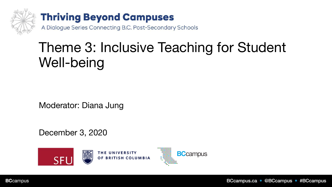

## Theme 3: Inclusive Teaching for Student Well-being

Moderator: Diana Jung

December 3, 2020



**BCcampus**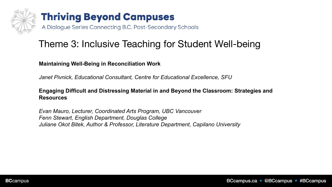

## **Thriving Beyond Campuses**

A Dialogue Series Connecting B.C. Post-Secondary Schools

## Theme 3: Inclusive Teaching for Student Well-being

**Maintaining Well-Being in Reconciliation Work** 

*Janet Pivnick, Educational Consultant, Centre for Educational Excellence, SFU*

### **Engaging Difficult and Distressing Material in and Beyond the Classroom: Strategies and Resources**

*Evan Mauro, Lecturer, Coordinated Arts Program, UBC Vancouver Fenn Stewart, English Department, Douglas College Juliane Okot Bitek, Author & Professor, Literature Department, Capilano University*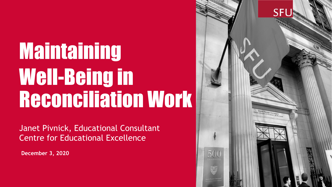# Maintaining Well-Being in Reconciliation Work

Janet Pivnick, Educational Consultant Centre for Educational Excellence

**December 3, 2020**

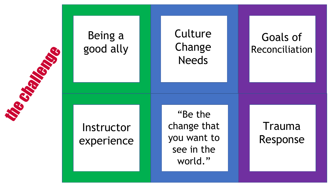

## Being a good ally **Instructor** experience "Be the change that you want to see in the **Culture** Change **Needs**

world."

Trauma Response

Goals of

Reconciliation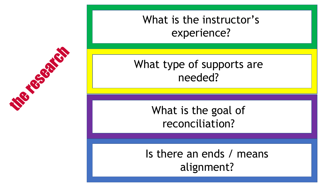## What is the instructor's experience?

## What type of supports are needed?

## What is the goal of reconciliation?

## Is there an ends / means alignment?

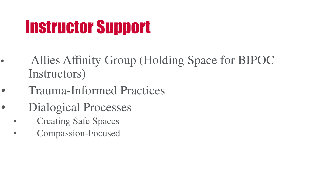## Instructor Support

- Allies Affinity Group (Holding Space for BIPOC Instructors)
- Trauma-Informed Practices
- Dialogical Processes
	- Creating Safe Spaces
	- Compassion-Focused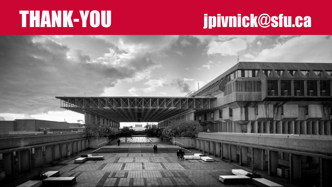## THANK-YOU jpivnick@sfu.ca

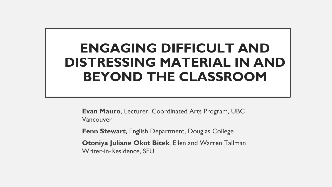## **ENGAGING DIFFICULT AND DISTRESSING MATERIAL IN AND BEYOND THE CLASSROOM**

**Evan Mauro**, Lecturer, Coordinated Arts Program, UBC Vancouver

**Fenn Stewart**, English Department, Douglas College

**Otoniya Juliane Okot Bitek**, Ellen and Warren Tallman Writer-in-Residence, SFU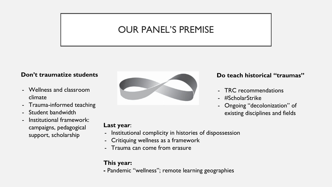### OUR PANEL'S PREMISE

### **Don't traumatize students**

- Wellness and classroom climate
- Trauma-informed teaching
- Student bandwidth
- Institutional framework: campaigns, pedagogical support, scholarship



#### **Do teach historical "traumas"**

- TRC recommendations
- #ScholarStrike
- Ongoing "decolonization" of existing disciplines and fields

#### **Last year**:

- Institutional complicity in histories of dispossession
- Critiquing wellness as a framework
- Trauma can come from erasure

### **This year:**

**-** Pandemic "wellness"; remote learning geographies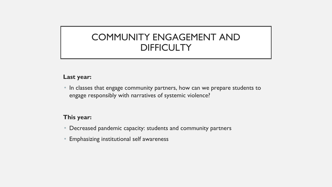### COMMUNITY ENGAGEMENT AND **DIFFICULTY**

### **Last year:**

• In classes that engage community partners, how can we prepare students to engage responsibly with narratives of systemic violence?

### **This year:**

- Decreased pandemic capacity: students and community partners
- Emphasizing institutional self awareness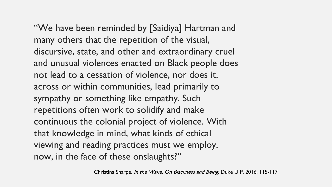"We have been reminded by [Saidiya] Hartman and many others that the repetition of the visual, discursive, state, and other and extraordinary cruel and unusual violences enacted on Black people does not lead to a cessation of violence, nor does it, across or within communities, lead primarily to sympathy or something like empathy. Such repetitions often work to solidify and make continuous the colonial project of violence. With that knowledge in mind, what kinds of ethical viewing and reading practices must we employ, now, in the face of these onslaughts?"

Christina Sharpe, *In the Wake: On Blackness and Being*. Duke U P, 2016. 115-117.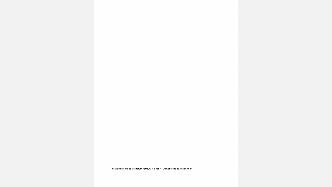<sup>&</sup>lt;sup>1</sup> All we wanted to do was return home, O told me. All we wanted to do was go home.